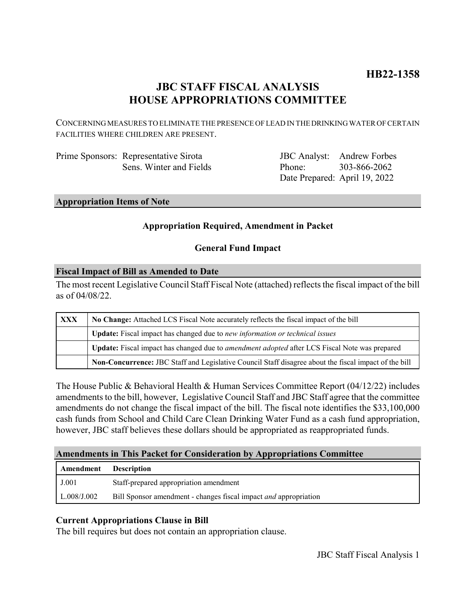## **JBC STAFF FISCAL ANALYSIS HOUSE APPROPRIATIONS COMMITTEE**

CONCERNING MEASURES TO ELIMINATE THE PRESENCE OF LEAD IN THE DRINKING WATER OF CERTAIN FACILITIES WHERE CHILDREN ARE PRESENT.

| Prime Sponsors: Representative Sirota |
|---------------------------------------|
| Sens. Winter and Fields               |

JBC Analyst: Andrew Forbes Phone: Date Prepared: April 19, 2022 303-866-2062

### **Appropriation Items of Note**

### **Appropriation Required, Amendment in Packet**

### **General Fund Impact**

### **Fiscal Impact of Bill as Amended to Date**

The most recent Legislative Council Staff Fiscal Note (attached) reflects the fiscal impact of the bill as of 04/08/22.

| <b>XXX</b> | No Change: Attached LCS Fiscal Note accurately reflects the fiscal impact of the bill                       |  |
|------------|-------------------------------------------------------------------------------------------------------------|--|
|            | Update: Fiscal impact has changed due to new information or technical issues                                |  |
|            | <b>Update:</b> Fiscal impact has changed due to <i>amendment adopted</i> after LCS Fiscal Note was prepared |  |
|            | Non-Concurrence: JBC Staff and Legislative Council Staff disagree about the fiscal impact of the bill       |  |

The House Public & Behavioral Health & Human Services Committee Report (04/12/22) includes amendments to the bill, however, Legislative Council Staff and JBC Staff agree that the committee amendments do not change the fiscal impact of the bill. The fiscal note identifies the \$33,100,000 cash funds from School and Child Care Clean Drinking Water Fund as a cash fund appropriation, however, JBC staff believes these dollars should be appropriated as reappropriated funds.

### **Amendments in This Packet for Consideration by Appropriations Committee**

| Amendment          | <b>Description</b>                                                      |  |
|--------------------|-------------------------------------------------------------------------|--|
| J.001              | Staff-prepared appropriation amendment                                  |  |
| $\mid$ L.008/J.002 | Bill Sponsor amendment - changes fiscal impact <i>and</i> appropriation |  |

### **Current Appropriations Clause in Bill**

The bill requires but does not contain an appropriation clause.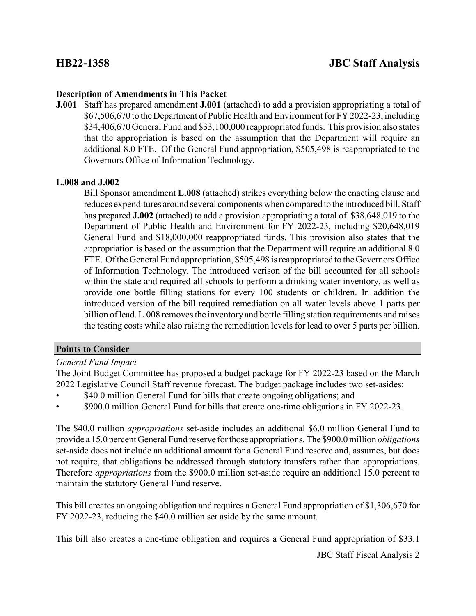### **Description of Amendments in This Packet**

**J.001** Staff has prepared amendment **J.001** (attached) to add a provision appropriating a total of \$67,506,670 to the Department of Public Health and Environment for FY 2022-23, including \$34,406,670 General Fund and \$33,100,000 reappropriated funds. This provision also states that the appropriation is based on the assumption that the Department will require an additional 8.0 FTE. Of the General Fund appropriation, \$505,498 is reappropriated to the Governors Office of Information Technology.

### **L.008 and J.002**

Bill Sponsor amendment **L.008** (attached) strikes everything below the enacting clause and reduces expenditures around several components when compared to the introduced bill. Staff has prepared **J.002** (attached) to add a provision appropriating a total of \$38,648,019 to the Department of Public Health and Environment for FY 2022-23, including \$20,648,019 General Fund and \$18,000,000 reappropriated funds. This provision also states that the appropriation is based on the assumption that the Department will require an additional 8.0 FTE. Of the General Fund appropriation, \$505,498 is reappropriated to the Governors Office of Information Technology. The introduced verison of the bill accounted for all schools within the state and required all schools to perform a drinking water inventory, as well as provide one bottle filling stations for every 100 students or children. In addition the introduced version of the bill required remediation on all water levels above 1 parts per billion of lead. L.008 removes the inventory and bottle filling station requirements and raises the testing costs while also raising the remediation levels for lead to over 5 parts per billion.

### **Points to Consider**

*General Fund Impact*

The Joint Budget Committee has proposed a budget package for FY 2022-23 based on the March 2022 Legislative Council Staff revenue forecast. The budget package includes two set-asides:

- \$40.0 million General Fund for bills that create ongoing obligations; and
- \$900.0 million General Fund for bills that create one-time obligations in FY 2022-23.

The \$40.0 million *appropriations* set-aside includes an additional \$6.0 million General Fund to provide a 15.0 percent General Fund reserve for those appropriations. The \$900.0 million *obligations* set-aside does not include an additional amount for a General Fund reserve and, assumes, but does not require, that obligations be addressed through statutory transfers rather than appropriations. Therefore *appropriations* from the \$900.0 million set-aside require an additional 15.0 percent to maintain the statutory General Fund reserve.

This bill creates an ongoing obligation and requires a General Fund appropriation of \$1,306,670 for FY 2022-23, reducing the \$40.0 million set aside by the same amount.

This bill also creates a one-time obligation and requires a General Fund appropriation of \$33.1